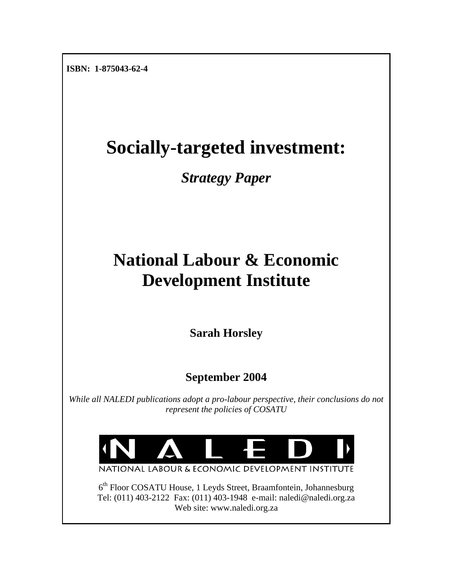**ISBN: 1-875043-62-4** 

# **Socially-targeted investment:**

*Strategy Paper* 

# **National Labour & Economic Development Institute**

**Sarah Horsley** 

**September 2004** 

*While all NALEDI publications adopt a pro-labour perspective, their conclusions do not represent the policies of COSATU* 



NATIONAL LABOUR & ECONOMIC DEVELOPMENT INSTITUTE

6<sup>th</sup> Floor COSATU House, 1 Leyds Street, Braamfontein, Johannesburg Tel: (011) 403-2122 Fax: (011) 403-1948 e-mail: naledi@naledi.org.za Web site: www.naledi.org.za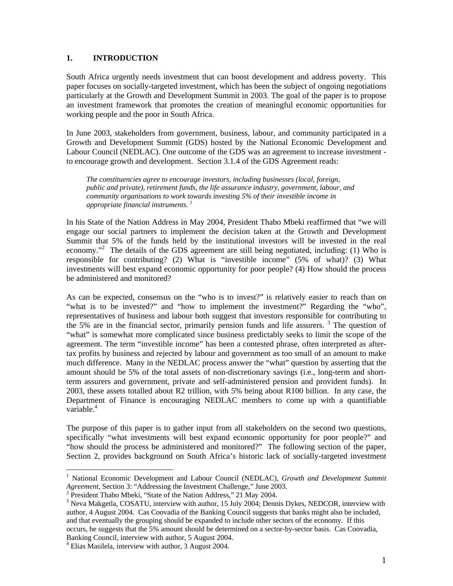#### **1. INTRODUCTION**

South Africa urgently needs investment that can boost development and address poverty. This paper focuses on socially-targeted investment, which has been the subject of ongoing negotiations particularly at the Growth and Development Summit in 2003. The goal of the paper is to propose an investment framework that promotes the creation of meaningful economic opportunities for working people and the poor in South Africa.

In June 2003, stakeholders from government, business, labour, and community participated in a Growth and Development Summit (GDS) hosted by the National Economic Development and Labour Council (NEDLAC). One outcome of the GDS was an agreement to increase investment to encourage growth and development. Section 3.1.4 of the GDS Agreement reads:

*The constituencies agree to encourage investors, including businesses (local, foreign, public and private), retirement funds, the life assurance industry, government, labour, and community organisations to work towards investing 5% of their investible income in appropriate financial instruments. 1*

In his State of the Nation Address in May 2004, President Thabo Mbeki reaffirmed that "we will engage our social partners to implement the decision taken at the Growth and Development Summit that 5% of the funds held by the institutional investors will be invested in the real economy."<sup>2</sup> The details of the GDS agreement are still being negotiated, including: (1) Who is responsible for contributing? (2) What is "investible income" (5% of what)? (3) What investments will best expand economic opportunity for poor people? (4) How should the process be administered and monitored?

As can be expected, consensus on the "who is to invest?" is relatively easier to reach than on "what is to be invested?" and "how to implement the investment?" Regarding the "who", representatives of business and labour both suggest that investors responsible for contributing to the 5% are in the financial sector, primarily pension funds and life assurers.<sup>3</sup> The question of "what" is somewhat more complicated since business predictably seeks to limit the scope of the agreement. The term "investible income" has been a contested phrase, often interpreted as aftertax profits by business and rejected by labour and government as too small of an amount to make much difference. Many in the NEDLAC process answer the "what" question by asserting that the amount should be 5% of the total assets of non-discretionary savings (i.e., long-term and shortterm assurers and government, private and self-administered pension and provident funds). In 2003, these assets totalled about R2 trillion, with 5% being about R100 billion. In any case, the Department of Finance is encouraging NEDLAC members to come up with a quantifiable variable. $4$ 

The purpose of this paper is to gather input from all stakeholders on the second two questions, specifically "what investments will best expand economic opportunity for poor people?" and "how should the process be administered and monitored?" The following section of the paper, Section 2, provides background on South Africa's historic lack of socially-targeted investment

<sup>&</sup>lt;sup>1</sup> National Economic Development and Labour Council (NEDLAC), *Growth and Development Summit Agreement*, Section 3: "Addressing the Investment Challenge," June 2003.

 $2$  President Thabo Mbeki, "State of the Nation Address," 21 May 2004.

<sup>&</sup>lt;sup>3</sup> Neva Makgetla, COSATU, interview with author, 15 July 2004; Dennis Dykes, NEDCOR, interview with author, 4 August 2004. Cas Coovadia of the Banking Council suggests that banks might also be included, and that eventually the grouping should be expanded to include other sectors of the economy. If this occurs, he suggests that the 5% amount should be determined on a sector-by-sector basis. Cas Coovadia, Banking Council, interview with author, 5 August 2004. 4

<sup>&</sup>lt;sup>4</sup> Elias Masilela, interview with author, 3 August 2004.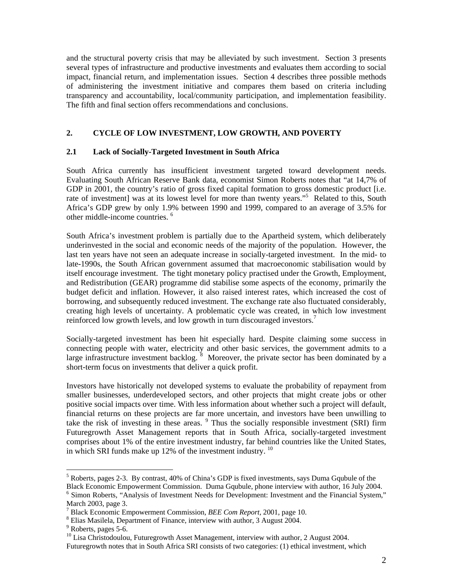and the structural poverty crisis that may be alleviated by such investment. Section 3 presents several types of infrastructure and productive investments and evaluates them according to social impact, financial return, and implementation issues. Section 4 describes three possible methods of administering the investment initiative and compares them based on criteria including transparency and accountability, local/community participation, and implementation feasibility. The fifth and final section offers recommendations and conclusions.

## **2. CYCLE OF LOW INVESTMENT, LOW GROWTH, AND POVERTY**

#### **2.1 Lack of Socially-Targeted Investment in South Africa**

South Africa currently has insufficient investment targeted toward development needs. Evaluating South African Reserve Bank data, economist Simon Roberts notes that "at 14,7% of GDP in 2001, the country's ratio of gross fixed capital formation to gross domestic product [i.e. rate of investment] was at its lowest level for more than twenty years."<sup>5</sup> Related to this, South Africa's GDP grew by only 1.9% between 1990 and 1999, compared to an average of 3.5% for other middle-income countries. 6

South Africa's investment problem is partially due to the Apartheid system, which deliberately underinvested in the social and economic needs of the majority of the population. However, the last ten years have not seen an adequate increase in socially-targeted investment. In the mid- to late-1990s, the South African government assumed that macroeconomic stabilisation would by itself encourage investment. The tight monetary policy practised under the Growth, Employment, and Redistribution (GEAR) programme did stabilise some aspects of the economy, primarily the budget deficit and inflation. However, it also raised interest rates, which increased the cost of borrowing, and subsequently reduced investment. The exchange rate also fluctuated considerably, creating high levels of uncertainty. A problematic cycle was created, in which low investment reinforced low growth levels, and low growth in turn discouraged investors.<sup>7</sup>

Socially-targeted investment has been hit especially hard. Despite claiming some success in connecting people with water, electricity and other basic services, the government admits to a large infrastructure investment backlog.  $\delta$  Moreover, the private sector has been dominated by a short-term focus on investments that deliver a quick profit.

Investors have historically not developed systems to evaluate the probability of repayment from smaller businesses, underdeveloped sectors, and other projects that might create jobs or other positive social impacts over time. With less information about whether such a project will default, financial returns on these projects are far more uncertain, and investors have been unwilling to take the risk of investing in these areas.  $9$  Thus the socially responsible investment (SRI) firm Futuregrowth Asset Management reports that in South Africa, socially-targeted investment comprises about 1% of the entire investment industry, far behind countries like the United States, in which SRI funds make up 12% of the investment industry.  $10^{10}$ 

 $\overline{a}$ 

Futuregrowth notes that in South Africa SRI consists of two categories: (1) ethical investment, which

<sup>&</sup>lt;sup>5</sup> Roberts, pages 2-3. By contrast, 40% of China's GDP is fixed investments, says Duma Gqubule of the Black Economic Empowerment Commission. Duma Gqubule, phone interview with author, 16 July 2004. 6

<sup>&</sup>lt;sup>6</sup> Simon Roberts, "Analysis of Investment Needs for Development: Investment and the Financial System," March 2003, page 3.

Black Economic Empowerment Commission*, BEE Com Report,* 2001, page 10. 8

 $^8$  Elias Masilela, Department of Finance, interview with author, 3 August 2004. 9 Roberts, pages 5-6.

 $^{10}$  Lisa Christodoulou, Futuregrowth Asset Management, interview with author, 2 August 2004.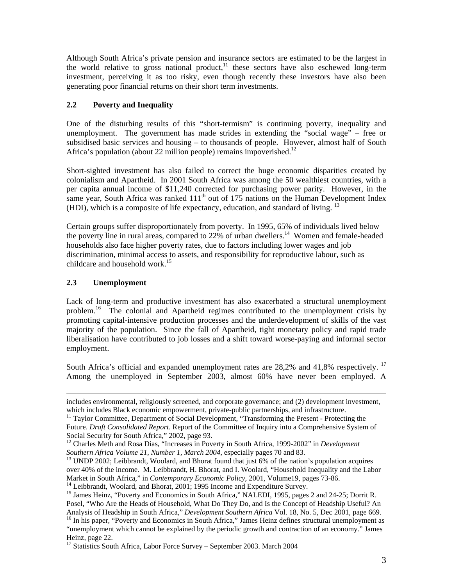Although South Africa's private pension and insurance sectors are estimated to be the largest in the world relative to gross national product,<sup>11</sup> these sectors have also eschewed long-term investment, perceiving it as too risky, even though recently these investors have also been generating poor financial returns on their short term investments.

## **2.2 Poverty and Inequality**

One of the disturbing results of this "short-termism" is continuing poverty, inequality and unemployment. The government has made strides in extending the "social wage" – free or subsidised basic services and housing – to thousands of people. However, almost half of South Africa's population (about 22 million people) remains impoverished.<sup>12</sup>

Short-sighted investment has also failed to correct the huge economic disparities created by colonialism and Apartheid. In 2001 South Africa was among the 50 wealthiest countries, with a per capita annual income of \$11,240 corrected for purchasing power parity. However, in the same year, South Africa was ranked  $111<sup>th</sup>$  out of 175 nations on the Human Development Index (HDI), which is a composite of life expectancy, education, and standard of living. 13

Certain groups suffer disproportionately from poverty. In 1995, 65% of individuals lived below the poverty line in rural areas, compared to  $22\%$  of urban dwellers.<sup>14</sup> Women and female-headed households also face higher poverty rates, due to factors including lower wages and job discrimination, minimal access to assets, and responsibility for reproductive labour, such as childcare and household work.<sup>15</sup>

## **2.3 Unemployment**

Lack of long-term and productive investment has also exacerbated a structural unemployment problem.<sup>16</sup> The colonial and Apartheid regimes contributed to the unemployment crisis by promoting capital-intensive production processes and the underdevelopment of skills of the vast majority of the population. Since the fall of Apartheid, tight monetary policy and rapid trade liberalisation have contributed to job losses and a shift toward worse-paying and informal sector employment.

South Africa's official and expanded unemployment rates are  $28,2\%$  and  $41,8\%$  respectively. <sup>17</sup> Among the unemployed in September 2003, almost 60% have never been employed. A

includes environmental, religiously screened, and corporate governance; and (2) development investment,

 $11$  Taylor Committee, Department of Social Development, "Transforming the Present - Protecting the Future. *Draft Consolidated Report*. Report of the Committee of Inquiry into a Comprehensive System of Social Security for South Africa," 2002, page 93.

<sup>&</sup>lt;sup>12</sup> Charles Meth and Rosa Dias, "Increases in Poverty in South Africa, 1999-2002" in *Development* Southern Africa Volume 21, Number 1, March 2004, especially pages 70 and 83.

<sup>&</sup>lt;sup>13</sup> UNDP 2002; Leibbrandt, Woolard, and Bhorat found that just 6% of the nation's population acquires over 40% of the income. M. Leibbrandt, H. Bhorat, and I. Woolard, "Household Inequality and the Labor<br>Market in South Africa," in *Contemporary Economic Policy*, 2001, Volume19, pages 73-86.

<sup>&</sup>lt;sup>14</sup> Leibbrandt, Woolard, and Bhorat, 2001; 1995 Income and Expenditure Survey.<br><sup>15</sup> James Heinz, "Poverty and Economics in South Africa," NALEDI, 1995, pages 2 and 24-25; Dorrit R. Posel, "Who Are the Heads of Household, What Do They Do, and Is the Concept of Headship Useful? An Analysis of Headship in South Africa," Development Southern Africa Vol. 18, No. 5, Dec 2001, page 669. <sup>16</sup> In his paper, "Poverty and Economics in South Africa," James Heinz defines structural unemployment as

<sup>&</sup>quot;unemployment which cannot be explained by the periodic growth and contraction of an economy." James Heinz, page 22.<br><sup>17</sup> Statistics South Africa, Labor Force Survey – September 2003. March 2004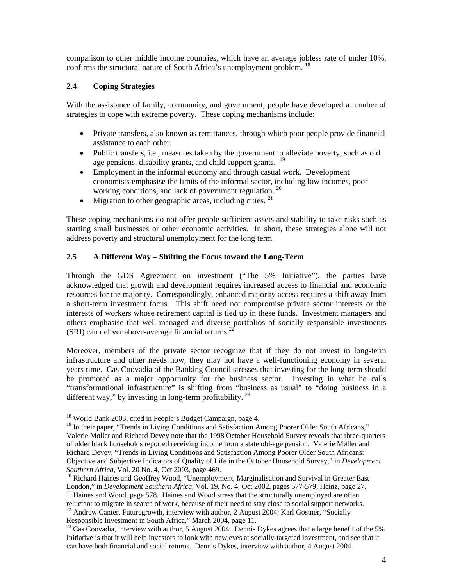comparison to other middle income countries, which have an average jobless rate of under 10%, confirms the structural nature of South Africa's unemployment problem. <sup>18</sup>

## **2.4 Coping Strategies**

With the assistance of family, community, and government, people have developed a number of strategies to cope with extreme poverty. These coping mechanisms include:

- Private transfers, also known as remittances, through which poor people provide financial assistance to each other.
- Public transfers, i.e., measures taken by the government to alleviate poverty, such as old age pensions, disability grants, and child support grants. <sup>19</sup>
- Employment in the informal economy and through casual work. Development economists emphasise the limits of the informal sector, including low incomes, poor working conditions, and lack of government regulation.<sup>20</sup>
- Migration to other geographic areas, including cities.  $21$

These coping mechanisms do not offer people sufficient assets and stability to take risks such as starting small businesses or other economic activities. In short, these strategies alone will not address poverty and structural unemployment for the long term.

## **2.5 A Different Way – Shifting the Focus toward the Long-Term**

Through the GDS Agreement on investment ("The 5% Initiative"), the parties have acknowledged that growth and development requires increased access to financial and economic resources for the majority. Correspondingly, enhanced majority access requires a shift away from a short-term investment focus. This shift need not compromise private sector interests or the interests of workers whose retirement capital is tied up in these funds. Investment managers and others emphasise that well-managed and diverse portfolios of socially responsible investments  $(SRI)$  can deliver above-average financial returns.<sup>22</sup>

Moreover, members of the private sector recognize that if they do not invest in long-term infrastructure and other needs now, they may not have a well-functioning economy in several years time. Cas Coovadia of the Banking Council stresses that investing for the long-term should be promoted as a major opportunity for the business sector. Investing in what he calls "transformational infrastructure" is shifting from "business as usual" to "doing business in a different way," by investing in long-term profitability.  $^{23}$ 

<sup>&</sup>lt;sup>18</sup> World Bank 2003, cited in People's Budget Campaign, page 4.

<sup>&</sup>lt;sup>19</sup> In their paper, "Trends in Living Conditions and Satisfaction Among Poorer Older South Africans," Valerie Møller and Richard Devey note that the 1998 October Household Survey reveals that three-quarters of older black households reported receiving income from a state old-age pension. Valerie Møller and Richard Devey, "Trends in Living Conditions and Satisfaction Among Poorer Older South Africans: Objective and Subjective Indicators of Quality of Life in the October Household Survey," in *Development Southern Africa*, Vol. 20 No. 4, Oct 2003, page 469.<br><sup>20</sup> Richard Haines and Geoffrey Wood, "Unemployment, Marginalisation and Survival in Greater East

London," in *Development Southern Africa*, Vol. 19, No. 4, Oct 2002, pages 577-579; Heinz, page 27. <sup>21</sup> Haines and Wood, page 578. Haines and Wood stress that the structurally unemployed are often

reluctant to migrate in search of work, because of their need to stay close to social support networks.<br><sup>22</sup> Andrew Canter, Futuregrowth, interview with author, 2 August 2004; Karl Gostner, "Socially

Responsible Investment in South Africa," March 2004, page 11.<br><sup>23</sup> Cas Coovadia, interview with author, 5 August 2004. Dennis Dykes agrees that a large benefit of the 5% Initiative is that it will help investors to look with new eyes at socially-targeted investment, and see that it can have both financial and social returns. Dennis Dykes, interview with author, 4 August 2004.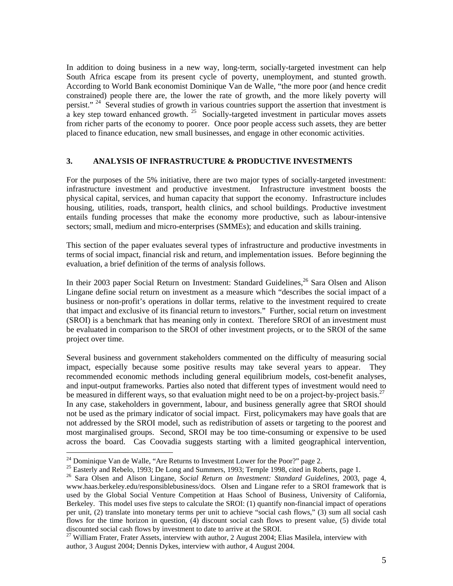In addition to doing business in a new way, long-term, socially-targeted investment can help South Africa escape from its present cycle of poverty, unemployment, and stunted growth. According to World Bank economist Dominique Van de Walle, "the more poor (and hence credit constrained) people there are, the lower the rate of growth, and the more likely poverty will persist." <sup>24</sup> Several studies of growth in various countries support the assertion that investment is a key step toward enhanced growth.<sup>25</sup> Socially-targeted investment in particular moves assets from richer parts of the economy to poorer. Once poor people access such assets, they are better placed to finance education, new small businesses, and engage in other economic activities.

#### **3. ANALYSIS OF INFRASTRUCTURE & PRODUCTIVE INVESTMENTS**

For the purposes of the 5% initiative, there are two major types of socially-targeted investment: infrastructure investment and productive investment. Infrastructure investment boosts the physical capital, services, and human capacity that support the economy. Infrastructure includes housing, utilities, roads, transport, health clinics, and school buildings. Productive investment entails funding processes that make the economy more productive, such as labour-intensive sectors; small, medium and micro-enterprises (SMMEs); and education and skills training.

This section of the paper evaluates several types of infrastructure and productive investments in terms of social impact, financial risk and return, and implementation issues. Before beginning the evaluation, a brief definition of the terms of analysis follows.

In their 2003 paper Social Return on Investment: Standard Guidelines,  $^{26}$  Sara Olsen and Alison Lingane define social return on investment as a measure which "describes the social impact of a business or non-profit's operations in dollar terms, relative to the investment required to create that impact and exclusive of its financial return to investors." Further, social return on investment (SROI) is a benchmark that has meaning only in context. Therefore SROI of an investment must be evaluated in comparison to the SROI of other investment projects, or to the SROI of the same project over time.

Several business and government stakeholders commented on the difficulty of measuring social impact, especially because some positive results may take several years to appear. They recommended economic methods including general equilibrium models, cost-benefit analyses, and input-output frameworks. Parties also noted that different types of investment would need to be measured in different ways, so that evaluation might need to be on a project-by-project basis.<sup>27</sup> In any case, stakeholders in government, labour, and business generally agree that SROI should not be used as the primary indicator of social impact. First, policymakers may have goals that are not addressed by the SROI model, such as redistribution of assets or targeting to the poorest and most marginalised groups. Second, SROI may be too time-consuming or expensive to be used across the board. Cas Coovadia suggests starting with a limited geographical intervention,

<sup>&</sup>lt;sup>24</sup> Dominique Van de Walle, "Are Returns to Investment Lower for the Poor?" page 2.<br><sup>25</sup> Easterly and Rebelo, 1993; De Long and Summers, 1993; Temple 1998, cited in Roberts, page 1.<br><sup>25</sup> Sara Olsen and Alison Lingane, *S* www.haas.berkeley.edu/responsiblebusiness/docs. Olsen and Lingane refer to a SROI framework that is used by the Global Social Venture Competition at Haas School of Business, University of California, Berkeley. This model uses five steps to calculate the SROI: (1) quantify non-financial impact of operations per unit, (2) translate into monetary terms per unit to achieve "social cash flows," (3) sum all social cash flows for the time horizon in question, (4) discount social cash flows to present value, (5) divide total

discounted social cash flows by investment to date to arrive at the SROI.<br><sup>27</sup> William Frater, Frater Assets, interview with author, 2 August 2004; Elias Masilela, interview with author, 3 August 2004; Dennis Dykes, interview with author, 4 August 2004.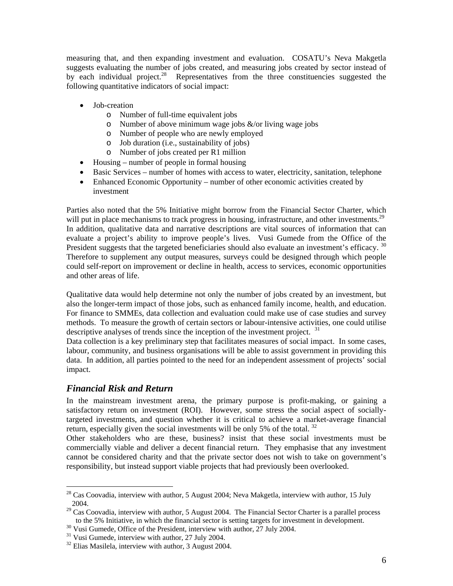measuring that, and then expanding investment and evaluation. COSATU's Neva Makgetla suggests evaluating the number of jobs created, and measuring jobs created by sector instead of by each individual project.<sup>28</sup> Representatives from the three constituencies suggested the following quantitative indicators of social impact:

- Job-creation
	- o Number of full-time equivalent jobs
	- o Number of above minimum wage jobs  $\&$ /or living wage jobs
	- o Number of people who are newly employed
	- o Job duration (i.e., sustainability of jobs)
	- o Number of jobs created per R1 million
- Housing number of people in formal housing
- Basic Services number of homes with access to water, electricity, sanitation, telephone
- Enhanced Economic Opportunity number of other economic activities created by investment

Parties also noted that the 5% Initiative might borrow from the Financial Sector Charter, which will put in place mechanisms to track progress in housing, infrastructure, and other investments.<sup>29</sup> In addition, qualitative data and narrative descriptions are vital sources of information that can evaluate a project's ability to improve people's lives. Vusi Gumede from the Office of the President suggests that the targeted beneficiaries should also evaluate an investment's efficacy.  $30$ Therefore to supplement any output measures, surveys could be designed through which people could self-report on improvement or decline in health, access to services, economic opportunities and other areas of life.

Qualitative data would help determine not only the number of jobs created by an investment, but also the longer-term impact of those jobs, such as enhanced family income, health, and education. For finance to SMMEs, data collection and evaluation could make use of case studies and survey methods. To measure the growth of certain sectors or labour-intensive activities, one could utilise descriptive analyses of trends since the inception of the investment project. <sup>31</sup>

Data collection is a key preliminary step that facilitates measures of social impact. In some cases, labour, community, and business organisations will be able to assist government in providing this data. In addition, all parties pointed to the need for an independent assessment of projects' social impact.

# *Financial Risk and Return*

 $\overline{a}$ 

In the mainstream investment arena, the primary purpose is profit-making, or gaining a satisfactory return on investment (ROI). However, some stress the social aspect of sociallytargeted investments, and question whether it is critical to achieve a market-average financial return, especially given the social investments will be only 5% of the total.  $32$ 

Other stakeholders who are these, business? insist that these social investments must be commercially viable and deliver a decent financial return. They emphasise that any investment cannot be considered charity and that the private sector does not wish to take on government's responsibility, but instead support viable projects that had previously been overlooked.

 $28$  Cas Coovadia, interview with author, 5 August 2004; Neva Makgetla, interview with author, 15 July 2004.

 $29$  Cas Coovadia, interview with author, 5 August 2004. The Financial Sector Charter is a parallel process to the 5% Initiative, in which the financial sector is setting targets for investment in development.<br><sup>30</sup> Vusi Gumede, Office of the President, interview with author, 27 July 2004.<br><sup>31</sup> Vusi Gumede, interview with author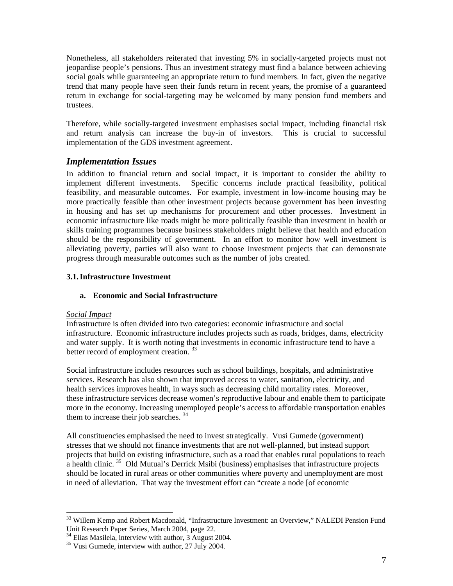Nonetheless, all stakeholders reiterated that investing 5% in socially-targeted projects must not jeopardise people's pensions. Thus an investment strategy must find a balance between achieving social goals while guaranteeing an appropriate return to fund members. In fact, given the negative trend that many people have seen their funds return in recent years, the promise of a guaranteed return in exchange for social-targeting may be welcomed by many pension fund members and trustees.

Therefore, while socially-targeted investment emphasises social impact, including financial risk and return analysis can increase the buy-in of investors. This is crucial to successful implementation of the GDS investment agreement.

# *Implementation Issues*

In addition to financial return and social impact, it is important to consider the ability to implement different investments. Specific concerns include practical feasibility, political feasibility, and measurable outcomes. For example, investment in low-income housing may be more practically feasible than other investment projects because government has been investing in housing and has set up mechanisms for procurement and other processes. Investment in economic infrastructure like roads might be more politically feasible than investment in health or skills training programmes because business stakeholders might believe that health and education should be the responsibility of government. In an effort to monitor how well investment is alleviating poverty, parties will also want to choose investment projects that can demonstrate progress through measurable outcomes such as the number of jobs created.

## **3.1. Infrastructure Investment**

## **a. Economic and Social Infrastructure**

## *Social Impact*

 $\overline{a}$ 

Infrastructure is often divided into two categories: economic infrastructure and social infrastructure. Economic infrastructure includes projects such as roads, bridges, dams, electricity and water supply. It is worth noting that investments in economic infrastructure tend to have a better record of employment creation.<sup>33</sup>

Social infrastructure includes resources such as school buildings, hospitals, and administrative services. Research has also shown that improved access to water, sanitation, electricity, and health services improves health, in ways such as decreasing child mortality rates. Moreover, these infrastructure services decrease women's reproductive labour and enable them to participate more in the economy. Increasing unemployed people's access to affordable transportation enables them to increase their job searches.<sup>34</sup>

All constituencies emphasised the need to invest strategically. Vusi Gumede (government) stresses that we should not finance investments that are not well-planned, but instead support projects that build on existing infrastructure, such as a road that enables rural populations to reach a health clinic.  $35$  Old Mutual's Derrick Msibi (business) emphasises that infrastructure projects should be located in rural areas or other communities where poverty and unemployment are most in need of alleviation. That way the investment effort can "create a node [of economic

<sup>&</sup>lt;sup>33</sup> Willem Kemp and Robert Macdonald, "Infrastructure Investment: an Overview," NALEDI Pension Fund<br>Unit Research Paper Series, March 2004, page 22.

<sup>&</sup>lt;sup>34</sup> Elias Masilela, interview with author,  $\overline{3}$  August 2004.<br><sup>35</sup> Vusi Gumede, interview with author, 27 July 2004.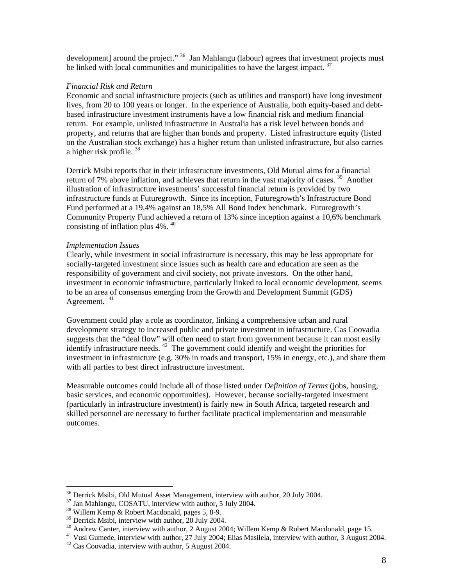development] around the project." <sup>36</sup> Jan Mahlangu (labour) agrees that investment projects must be linked with local communities and municipalities to have the largest impact.  $37$ 

#### *Financial Risk and Return*

Economic and social infrastructure projects (such as utilities and transport) have long investment lives, from 20 to 100 years or longer. In the experience of Australia, both equity-based and debtbased infrastructure investment instruments have a low financial risk and medium financial return. For example, unlisted infrastructure in Australia has a risk level between bonds and property, and returns that are higher than bonds and property. Listed infrastructure equity (listed on the Australian stock exchange) has a higher return than unlisted infrastructure, but also carries a higher risk profile. 38

Derrick Msibi reports that in their infrastructure investments, Old Mutual aims for a financial return of 7% above inflation, and achieves that return in the vast majority of cases.  $39$  Another illustration of infrastructure investments' successful financial return is provided by two infrastructure funds at Futuregrowth. Since its inception, Futuregrowth's Infrastructure Bond Fund performed at a 19,4% against an 18,5% All Bond Index benchmark. Futuregrowth's Community Property Fund achieved a return of 13% since inception against a 10,6% benchmark consisting of inflation plus 4%. 40

#### *Implementation Issues*

Clearly, while investment in social infrastructure is necessary, this may be less appropriate for socially-targeted investment since issues such as health care and education are seen as the responsibility of government and civil society, not private investors. On the other hand, investment in economic infrastructure, particularly linked to local economic development, seems to be an area of consensus emerging from the Growth and Development Summit (GDS) Agreement. <sup>41</sup>

Government could play a role as coordinator, linking a comprehensive urban and rural development strategy to increased public and private investment in infrastructure. Cas Coovadia suggests that the "deal flow" will often need to start from government because it can most easily identify infrastructure needs. 42 The government could identify and weight the priorities for investment in infrastructure (e.g. 30% in roads and transport, 15% in energy, etc.), and share them with all parties to best direct infrastructure investment.

Measurable outcomes could include all of those listed under *Definition of Terms* (jobs, housing, basic services, and economic opportunities). However, because socially-targeted investment (particularly in infrastructure investment) is fairly new in South Africa, targeted research and skilled personnel are necessary to further facilitate practical implementation and measurable outcomes.

<sup>&</sup>lt;sup>36</sup> Derrick Msibi, Old Mutual Asset Management, interview with author, 20 July 2004.<br><sup>37</sup> Jan Mahlangu, COSATU, interview with author, 5 July 2004.<br><sup>38</sup> Willem Kemp & Robert Macdonald, pages 5, 8-9.

<sup>&</sup>lt;sup>38</sup> Willem Kemp & Robert Macdonald, pages 5, 8-9.<br><sup>39</sup> Derrick Msibi, interview with author, 20 July 2004.<br><sup>40</sup> Andrew Canter, interview with author, 2 August 2004; Willem Kemp & Robert Macdonald, page 15.<br><sup>41</sup> Vusi Gume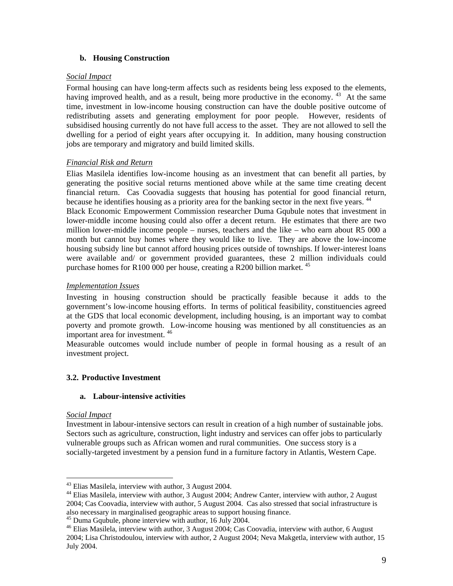## **b. Housing Construction**

#### *Social Impact*

Formal housing can have long-term affects such as residents being less exposed to the elements, having improved health, and as a result, being more productive in the economy. <sup>43</sup> At the same time, investment in low-income housing construction can have the double positive outcome of redistributing assets and generating employment for poor people. However, residents of subsidised housing currently do not have full access to the asset. They are not allowed to sell the dwelling for a period of eight years after occupying it. In addition, many housing construction jobs are temporary and migratory and build limited skills.

## *Financial Risk and Return*

Elias Masilela identifies low-income housing as an investment that can benefit all parties, by generating the positive social returns mentioned above while at the same time creating decent financial return. Cas Coovadia suggests that housing has potential for good financial return, because he identifies housing as a priority area for the banking sector in the next five years. <sup>44</sup> Black Economic Empowerment Commission researcher Duma Gqubule notes that investment in lower-middle income housing could also offer a decent return. He estimates that there are two million lower-middle income people – nurses, teachers and the like – who earn about R5 000 a month but cannot buy homes where they would like to live. They are above the low-income housing subsidy line but cannot afford housing prices outside of townships. If lower-interest loans were available and/ or government provided guarantees, these 2 million individuals could purchase homes for R100 000 per house, creating a R200 billion market.  $45$ 

## *Implementation Issues*

Investing in housing construction should be practically feasible because it adds to the government's low-income housing efforts. In terms of political feasibility, constituencies agreed at the GDS that local economic development, including housing, is an important way to combat poverty and promote growth. Low-income housing was mentioned by all constituencies as an important area for investment. 46

Measurable outcomes would include number of people in formal housing as a result of an investment project.

## **3.2. Productive Investment**

## **a. Labour-intensive activities**

#### *Social Impact*

Investment in labour-intensive sectors can result in creation of a high number of sustainable jobs. Sectors such as agriculture, construction, light industry and services can offer jobs to particularly vulnerable groups such as African women and rural communities. One success story is a socially-targeted investment by a pension fund in a furniture factory in Atlantis, Western Cape.

<sup>&</sup>lt;sup>43</sup> Elias Masilela, interview with author, 3 August 2004.

<sup>&</sup>lt;sup>44</sup> Elias Masilela, interview with author, 3 August 2004; Andrew Canter, interview with author, 2 August 2004; Cas Coovadia, interview with author, 5 August 2004. Cas also stressed that social infrastructure is

<sup>&</sup>lt;sup>45</sup> Duma Gqubule, phone interview with author, 16 July 2004.<br><sup>46</sup> Elias Masilela, interview with author, 3 August 2004; Cas Coovadia, interview with author, 6 August 2004; Lisa Christodoulou, interview with author, 2 August 2004; Neva Makgetla, interview with author, 15 July 2004.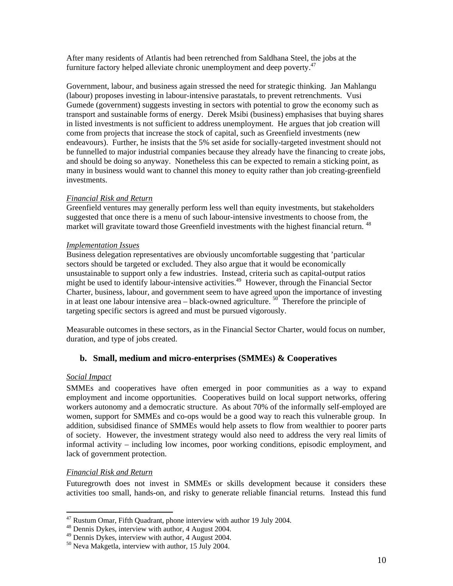After many residents of Atlantis had been retrenched from Saldhana Steel, the jobs at the furniture factory helped alleviate chronic unemployment and deep poverty.<sup>47</sup>

Government, labour, and business again stressed the need for strategic thinking. Jan Mahlangu (labour) proposes investing in labour-intensive parastatals, to prevent retrenchments. Vusi Gumede (government) suggests investing in sectors with potential to grow the economy such as transport and sustainable forms of energy. Derek Msibi (business) emphasises that buying shares in listed investments is not sufficient to address unemployment. He argues that job creation will come from projects that increase the stock of capital, such as Greenfield investments (new endeavours). Further, he insists that the 5% set aside for socially-targeted investment should not be funnelled to major industrial companies because they already have the financing to create jobs, and should be doing so anyway. Nonetheless this can be expected to remain a sticking point, as many in business would want to channel this money to equity rather than job creating-greenfield investments.

#### *Financial Risk and Return*

Greenfield ventures may generally perform less well than equity investments, but stakeholders suggested that once there is a menu of such labour-intensive investments to choose from, the market will gravitate toward those Greenfield investments with the highest financial return. <sup>48</sup>

#### *Implementation Issues*

Business delegation representatives are obviously uncomfortable suggesting that 'particular sectors should be targeted or excluded. They also argue that it would be economically unsustainable to support only a few industries. Instead, criteria such as capital-output ratios might be used to identify labour-intensive activities.<sup>49</sup> However, through the Financial Sector Charter, business, labour, and government seem to have agreed upon the importance of investing in at least one labour intensive area – black-owned agriculture.  $50^{\circ}$  Therefore the principle of targeting specific sectors is agreed and must be pursued vigorously.

Measurable outcomes in these sectors, as in the Financial Sector Charter, would focus on number, duration, and type of jobs created.

## **b. Small, medium and micro-enterprises (SMMEs) & Cooperatives**

#### *Social Impact*

 $\overline{a}$ 

SMMEs and cooperatives have often emerged in poor communities as a way to expand employment and income opportunities. Cooperatives build on local support networks, offering workers autonomy and a democratic structure. As about 70% of the informally self-employed are women, support for SMMEs and co-ops would be a good way to reach this vulnerable group. In addition, subsidised finance of SMMEs would help assets to flow from wealthier to poorer parts of society. However, the investment strategy would also need to address the very real limits of informal activity – including low incomes, poor working conditions, episodic employment, and lack of government protection.

#### *Financial Risk and Return*

Futuregrowth does not invest in SMMEs or skills development because it considers these activities too small, hands-on, and risky to generate reliable financial returns. Instead this fund

<sup>&</sup>lt;sup>47</sup> Rustum Omar, Fifth Quadrant, phone interview with author 19 July 2004.<br><sup>48</sup> Dennis Dykes, interview with author, 4 August 2004.<br><sup>49</sup> Dennis Dykes, interview with author, 4 August 2004.<br><sup>50</sup> Neva Makgetla, interview w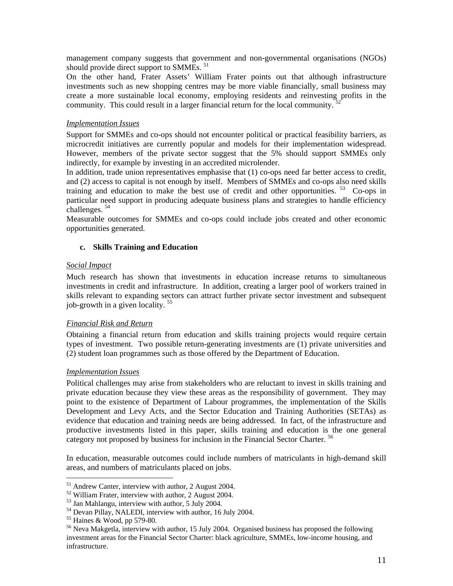management company suggests that government and non-governmental organisations (NGOs) should provide direct support to SMMEs.<sup>51</sup>

On the other hand, Frater Assets' William Frater points out that although infrastructure investments such as new shopping centres may be more viable financially, small business may create a more sustainable local economy, employing residents and reinvesting profits in the community. This could result in a larger financial return for the local community.

#### *Implementation Issues*

Support for SMMEs and co-ops should not encounter political or practical feasibility barriers, as microcredit initiatives are currently popular and models for their implementation widespread. However, members of the private sector suggest that the 5% should support SMMEs only indirectly, for example by investing in an accredited microlender.

In addition, trade union representatives emphasise that (1) co-ops need far better access to credit, and (2) access to capital is not enough by itself. Members of SMMEs and co-ops also need skills training and education to make the best use of credit and other opportunities.  $53$  Co-ops in particular need support in producing adequate business plans and strategies to handle efficiency challenges. 54

Measurable outcomes for SMMEs and co-ops could include jobs created and other economic opportunities generated.

#### **c. Skills Training and Education**

#### *Social Impact*

Much research has shown that investments in education increase returns to simultaneous investments in credit and infrastructure. In addition, creating a larger pool of workers trained in skills relevant to expanding sectors can attract further private sector investment and subsequent job-growth in a given locality. 55

#### *Financial Risk and Return*

Obtaining a financial return from education and skills training projects would require certain types of investment. Two possible return-generating investments are (1) private universities and (2) student loan programmes such as those offered by the Department of Education.

#### *Implementation Issues*

Political challenges may arise from stakeholders who are reluctant to invest in skills training and private education because they view these areas as the responsibility of government. They may point to the existence of Department of Labour programmes, the implementation of the Skills Development and Levy Acts, and the Sector Education and Training Authorities (SETAs) as evidence that education and training needs are being addressed. In fact, of the infrastructure and productive investments listed in this paper, skills training and education is the one general category not proposed by business for inclusion in the Financial Sector Charter.<sup>56</sup>

In education, measurable outcomes could include numbers of matriculants in high-demand skill areas, and numbers of matriculants placed on jobs.

<sup>&</sup>lt;sup>51</sup> Andrew Canter, interview with author, 2 August 2004.

<sup>&</sup>lt;sup>52</sup> William Frater, interview with author, 2 August 2004.<br><sup>53</sup> Jan Mahlangu, interview with author, 5 July 2004.<br><sup>54</sup> Devan Pillay, NALEDI, interview with author, 16 July 2004.<br><sup>55</sup> Haines & Wood, pp 579-80.<br><sup>56</sup> Neva Ma investment areas for the Financial Sector Charter: black agriculture, SMMEs, low-income housing, and infrastructure.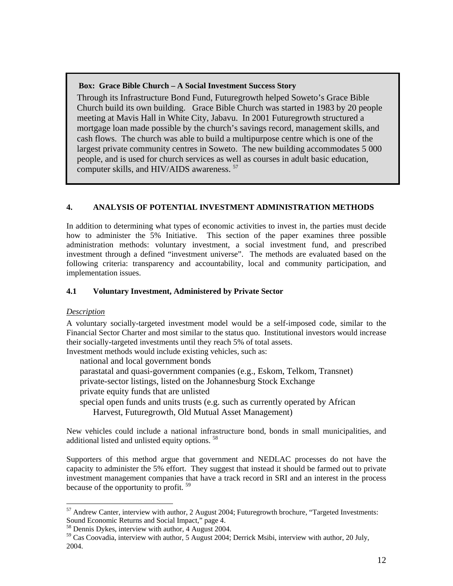## **Box: Grace Bible Church – A Social Investment Success Story**

Through its Infrastructure Bond Fund, Futuregrowth helped Soweto's Grace Bible Church build its own building. Grace Bible Church was started in 1983 by 20 people meeting at Mavis Hall in White City, Jabavu. In 2001 Futuregrowth structured a mortgage loan made possible by the church's savings record, management skills, and cash flows. The church was able to build a multipurpose centre which is one of the largest private community centres in Soweto. The new building accommodates 5 000 people, and is used for church services as well as courses in adult basic education, computer skills, and HIV/AIDS awareness.  $57$ 

# **4. ANALYSIS OF POTENTIAL INVESTMENT ADMINISTRATION METHODS**

In addition to determining what types of economic activities to invest in, the parties must decide how to administer the 5% Initiative. This section of the paper examines three possible administration methods: voluntary investment, a social investment fund, and prescribed investment through a defined "investment universe". The methods are evaluated based on the following criteria: transparency and accountability, local and community participation, and implementation issues.

## **4.1 Voluntary Investment, Administered by Private Sector**

# *Description*

 $\overline{a}$ 

A voluntary socially-targeted investment model would be a self-imposed code, similar to the Financial Sector Charter and most similar to the status quo. Institutional investors would increase their socially-targeted investments until they reach 5% of total assets.

Investment methods would include existing vehicles, such as:

national and local government bonds

parastatal and quasi-government companies (e.g., Eskom, Telkom, Transnet)

private-sector listings, listed on the Johannesburg Stock Exchange

private equity funds that are unlisted

special open funds and units trusts (e.g. such as currently operated by African

Harvest, Futuregrowth, Old Mutual Asset Management)

New vehicles could include a national infrastructure bond, bonds in small municipalities, and additional listed and unlisted equity options. 58

Supporters of this method argue that government and NEDLAC processes do not have the capacity to administer the 5% effort. They suggest that instead it should be farmed out to private investment management companies that have a track record in SRI and an interest in the process because of the opportunity to profit.<sup>59</sup>

<sup>57</sup> Andrew Canter, interview with author, 2 August 2004; Futuregrowth brochure, "Targeted Investments:

Sound Economic Returns and Social Impact," page 4.<br><sup>58</sup> Dennis Dykes, interview with author, 4 August 2004. Derrick Msibi, interview with author, 20 July, <sup>59</sup> Cas Coovadia, interview with author, 5 August 2004; Derrick Ms 2004.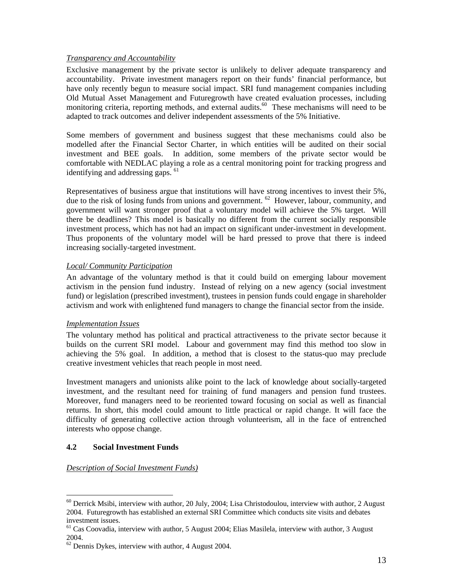## *Transparency and Accountability*

Exclusive management by the private sector is unlikely to deliver adequate transparency and accountability. Private investment managers report on their funds' financial performance, but have only recently begun to measure social impact. SRI fund management companies including Old Mutual Asset Management and Futuregrowth have created evaluation processes, including monitoring criteria, reporting methods, and external audits.<sup>60</sup> These mechanisms will need to be adapted to track outcomes and deliver independent assessments of the 5% Initiative.

Some members of government and business suggest that these mechanisms could also be modelled after the Financial Sector Charter, in which entities will be audited on their social investment and BEE goals. In addition, some members of the private sector would be comfortable with NEDLAC playing a role as a central monitoring point for tracking progress and identifying and addressing gaps. 61

Representatives of business argue that institutions will have strong incentives to invest their 5%, due to the risk of losing funds from unions and government. <sup>62</sup> However, labour, community, and government will want stronger proof that a voluntary model will achieve the 5% target. Will there be deadlines? This model is basically no different from the current socially responsible investment process, which has not had an impact on significant under-investment in development. Thus proponents of the voluntary model will be hard pressed to prove that there is indeed increasing socially-targeted investment.

## *Local/ Community Participation*

An advantage of the voluntary method is that it could build on emerging labour movement activism in the pension fund industry. Instead of relying on a new agency (social investment fund) or legislation (prescribed investment), trustees in pension funds could engage in shareholder activism and work with enlightened fund managers to change the financial sector from the inside.

#### *Implementation Issues*

The voluntary method has political and practical attractiveness to the private sector because it builds on the current SRI model. Labour and government may find this method too slow in achieving the 5% goal. In addition, a method that is closest to the status-quo may preclude creative investment vehicles that reach people in most need.

Investment managers and unionists alike point to the lack of knowledge about socially-targeted investment, and the resultant need for training of fund managers and pension fund trustees. Moreover, fund managers need to be reoriented toward focusing on social as well as financial returns. In short, this model could amount to little practical or rapid change. It will face the difficulty of generating collective action through volunteerism, all in the face of entrenched interests who oppose change.

#### **4.2 Social Investment Funds**

 $\overline{a}$ 

#### *Description of Social Investment Funds)*

<sup>&</sup>lt;sup>60</sup> Derrick Msibi, interview with author, 20 July, 2004; Lisa Christodoulou, interview with author, 2 August 2004. Futuregrowth has established an external SRI Committee which conducts site visits and debates investment issues.<br><sup>61</sup> Cas Coovadia, interview with author, 5 August 2004; Elias Masilela, interview with author, 3 August

<sup>2004.&</sup>lt;br> $62$  Dennis Dykes, interview with author, 4 August 2004.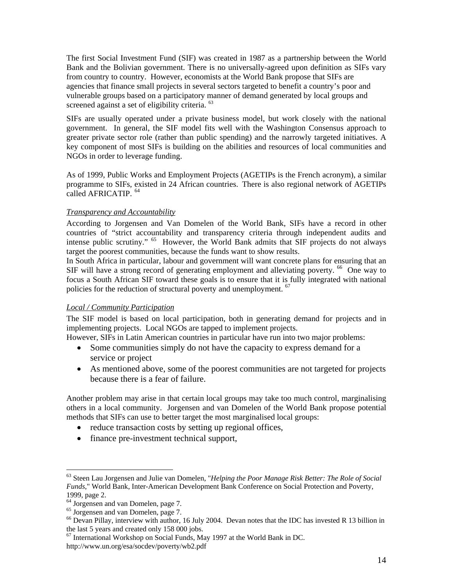The first Social Investment Fund (SIF) was created in 1987 as a partnership between the World Bank and the Bolivian government. There is no universally-agreed upon definition as SIFs vary from country to country. However, economists at the World Bank propose that SIFs are agencies that finance small projects in several sectors targeted to benefit a country's poor and vulnerable groups based on a participatory manner of demand generated by local groups and screened against a set of eligibility criteria. <sup>63</sup>

SIFs are usually operated under a private business model, but work closely with the national government. In general, the SIF model fits well with the Washington Consensus approach to greater private sector role (rather than public spending) and the narrowly targeted initiatives. A key component of most SIFs is building on the abilities and resources of local communities and NGOs in order to leverage funding.

As of 1999, Public Works and Employment Projects (AGETIPs is the French acronym), a similar programme to SIFs, existed in 24 African countries. There is also regional network of AGETIPs called AFRICATIP.<sup>64</sup>

## *Transparency and Accountability*

According to Jorgensen and Van Domelen of the World Bank, SIFs have a record in other countries of "strict accountability and transparency criteria through independent audits and intense public scrutiny." 65 However, the World Bank admits that SIF projects do not always target the poorest communities, because the funds want to show results.

In South Africa in particular, labour and government will want concrete plans for ensuring that an SIF will have a strong record of generating employment and alleviating poverty.  $^{66}$  One way to focus a South African SIF toward these goals is to ensure that it is fully integrated with national policies for the reduction of structural poverty and unemployment. <sup>67</sup>

#### *Local / Community Participation*

The SIF model is based on local participation, both in generating demand for projects and in implementing projects. Local NGOs are tapped to implement projects.

However, SIFs in Latin American countries in particular have run into two major problems:

- Some communities simply do not have the capacity to express demand for a service or project
- As mentioned above, some of the poorest communities are not targeted for projects because there is a fear of failure.

Another problem may arise in that certain local groups may take too much control, marginalising others in a local community. Jorgensen and van Domelen of the World Bank propose potential methods that SIFs can use to better target the most marginalised local groups:

- reduce transaction costs by setting up regional offices,
- finance pre-investment technical support,

 $\overline{a}$ 

 $67$  International Workshop on Social Funds, May 1997 at the World Bank in DC.

<sup>63</sup> Steen Lau Jorgensen and Julie van Domelen, "*Helping the Poor Manage Risk Better: The Role of Social Funds*," World Bank, Inter-American Development Bank Conference on Social Protection and Poverty,

<sup>1999,</sup> page 2.<br><sup>64</sup> Jorgensen and van Domelen, page 7.<br><sup>65</sup> Jorgensen and van Domelen, page 7.<br><sup>66</sup> Devan Pillay, interview with author, 16 July 2004. Devan notes that the IDC has invested R 13 billion in the last 5 years

http://www.un.org/esa/socdev/poverty/wb2.pdf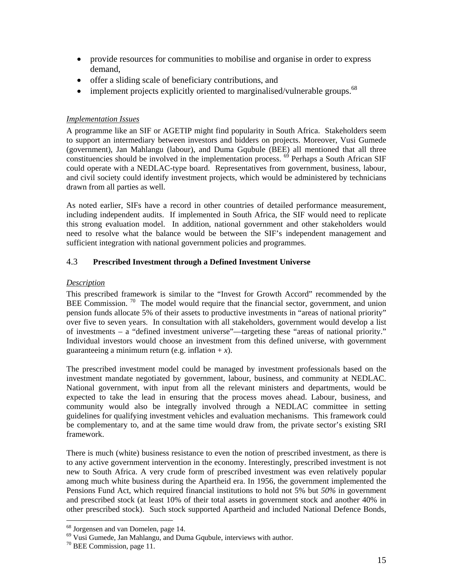- provide resources for communities to mobilise and organise in order to express demand,
- offer a sliding scale of beneficiary contributions, and
- implement projects explicitly oriented to marginalised/vulnerable groups.  $^{68}$

## *Implementation Issues*

A programme like an SIF or AGETIP might find popularity in South Africa. Stakeholders seem to support an intermediary between investors and bidders on projects. Moreover, Vusi Gumede (government), Jan Mahlangu (labour), and Duma Gqubule (BEE) all mentioned that all three constituencies should be involved in the implementation process. <sup>69</sup> Perhaps a South African SIF could operate with a NEDLAC-type board. Representatives from government, business, labour, and civil society could identify investment projects, which would be administered by technicians drawn from all parties as well.

As noted earlier, SIFs have a record in other countries of detailed performance measurement, including independent audits. If implemented in South Africa, the SIF would need to replicate this strong evaluation model. In addition, national government and other stakeholders would need to resolve what the balance would be between the SIF's independent management and sufficient integration with national government policies and programmes.

## 4.3 **Prescribed Investment through a Defined Investment Universe**

## *Description*

This prescribed framework is similar to the "Invest for Growth Accord" recommended by the BEE Commission.  $70$  The model would require that the financial sector, government, and union pension funds allocate 5% of their assets to productive investments in "areas of national priority" over five to seven years. In consultation with all stakeholders, government would develop a list of investments – a "defined investment universe"—targeting these "areas of national priority." Individual investors would choose an investment from this defined universe, with government guaranteeing a minimum return (e.g. inflation  $+x$ ).

The prescribed investment model could be managed by investment professionals based on the investment mandate negotiated by government, labour, business, and community at NEDLAC. National government, with input from all the relevant ministers and departments, would be expected to take the lead in ensuring that the process moves ahead. Labour, business, and community would also be integrally involved through a NEDLAC committee in setting guidelines for qualifying investment vehicles and evaluation mechanisms. This framework could be complementary to, and at the same time would draw from, the private sector's existing SRI framework.

There is much (white) business resistance to even the notion of prescribed investment, as there is to any active government intervention in the economy. Interestingly, prescribed investment is not new to South Africa. A very crude form of prescribed investment was even relatively popular among much white business during the Apartheid era. In 1956, the government implemented the Pensions Fund Act, which required financial institutions to hold not 5% but *50%* in government and prescribed stock (at least 10% of their total assets in government stock and another 40% in other prescribed stock). Such stock supported Apartheid and included National Defence Bonds,

<sup>&</sup>lt;sup>68</sup> Jorgensen and van Domelen, page 14.<br><sup>69</sup> Vusi Gumede, Jan Mahlangu, and Duma Gqubule, interviews with author.<br><sup>70</sup> BEE Commission, page 11.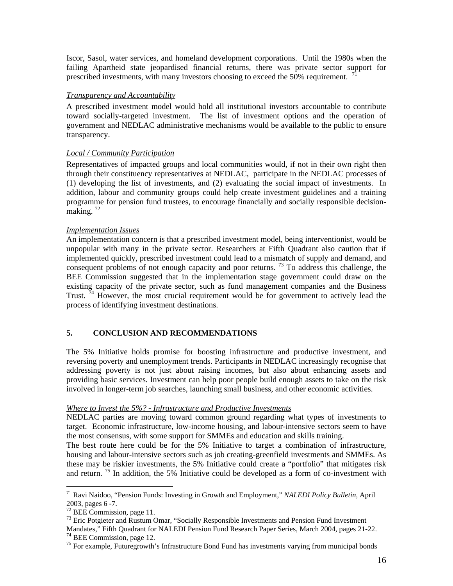Iscor, Sasol, water services, and homeland development corporations. Until the 1980s when the failing Apartheid state jeopardised financial returns, there was private sector support for prescribed investments, with many investors choosing to exceed the 50% requirement.  $^{71}$ 

## *Transparency and Accountability*

A prescribed investment model would hold all institutional investors accountable to contribute toward socially-targeted investment. The list of investment options and the operation of government and NEDLAC administrative mechanisms would be available to the public to ensure transparency.

## *Local / Community Participation*

Representatives of impacted groups and local communities would, if not in their own right then through their constituency representatives at NEDLAC, participate in the NEDLAC processes of (1) developing the list of investments, and (2) evaluating the social impact of investments. In addition, labour and community groups could help create investment guidelines and a training programme for pension fund trustees, to encourage financially and socially responsible decisionmaking.  $72$ 

## *Implementation Issues*

An implementation concern is that a prescribed investment model, being interventionist, would be unpopular with many in the private sector. Researchers at Fifth Quadrant also caution that if implemented quickly, prescribed investment could lead to a mismatch of supply and demand, and consequent problems of not enough capacity and poor returns.  $^{73}$  To address this challenge, the BEE Commission suggested that in the implementation stage government could draw on the existing capacity of the private sector, such as fund management companies and the Business Trust.  $\bar{7}$ <sup>4</sup> However, the most crucial requirement would be for government to actively lead the process of identifying investment destinations.

## **5. CONCLUSION AND RECOMMENDATIONS**

The 5% Initiative holds promise for boosting infrastructure and productive investment, and reversing poverty and unemployment trends. Participants in NEDLAC increasingly recognise that addressing poverty is not just about raising incomes, but also about enhancing assets and providing basic services. Investment can help poor people build enough assets to take on the risk involved in longer-term job searches, launching small business, and other economic activities.

#### *Where to Invest the 5%? - Infrastructure and Productive Investments*

NEDLAC parties are moving toward common ground regarding what types of investments to target. Economic infrastructure, low-income housing, and labour-intensive sectors seem to have the most consensus, with some support for SMMEs and education and skills training.

The best route here could be for the 5% Initiative to target a combination of infrastructure, housing and labour-intensive sectors such as job creating-greenfield investments and SMMEs. As these may be riskier investments, the 5% Initiative could create a "portfolio" that mitigates risk and return.  $\frac{75}{15}$  In addition, the 5% Initiative could be developed as a form of co-investment with

<sup>71</sup> Ravi Naidoo, "Pension Funds: Investing in Growth and Employment," *NALEDI Policy Bulletin*, April

 $^{73}$  Eric Potgieter and Rustum Omar, "Socially Responsible Investments and Pension Fund Investment Mandates," Fifth Quadrant for NALEDI Pension Fund Research Paper Series, March 2004, pages 21-22.<br><sup>74</sup> BEE Commission, page 12.<br><sup>75</sup> For example, Futuregrowth's Infrastructure Bond Fund has investments varying from munici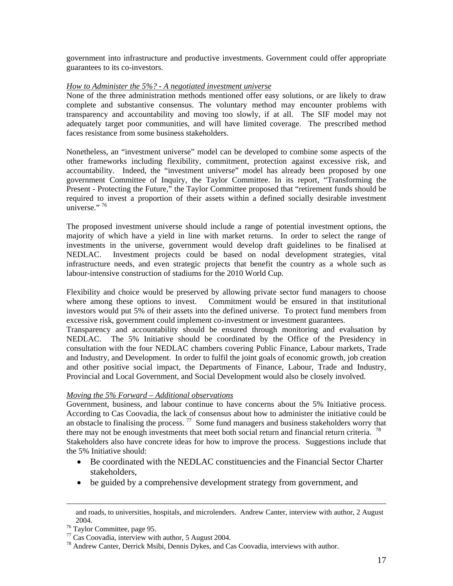government into infrastructure and productive investments. Government could offer appropriate guarantees to its co-investors.

#### *How to Administer the 5%? - A negotiated investment universe*

None of the three administration methods mentioned offer easy solutions, or are likely to draw complete and substantive consensus. The voluntary method may encounter problems with transparency and accountability and moving too slowly, if at all. The SIF model may not adequately target poor communities, and will have limited coverage. The prescribed method faces resistance from some business stakeholders.

Nonetheless, an "investment universe" model can be developed to combine some aspects of the other frameworks including flexibility, commitment, protection against excessive risk, and accountability. Indeed, the "investment universe" model has already been proposed by one government Committee of Inquiry, the Taylor Committee. In its report, "Transforming the Present - Protecting the Future," the Taylor Committee proposed that "retirement funds should be required to invest a proportion of their assets within a defined socially desirable investment universe." $76$ 

The proposed investment universe should include a range of potential investment options, the majority of which have a yield in line with market returns. In order to select the range of investments in the universe, government would develop draft guidelines to be finalised at NEDLAC. Investment projects could be based on nodal development strategies, vital infrastructure needs, and even strategic projects that benefit the country as a whole such as labour-intensive construction of stadiums for the 2010 World Cup.

Flexibility and choice would be preserved by allowing private sector fund managers to choose where among these options to invest. Commitment would be ensured in that institutional investors would put 5% of their assets into the defined universe. To protect fund members from excessive risk, government could implement co-investment or investment guarantees.

Transparency and accountability should be ensured through monitoring and evaluation by NEDLAC. The 5% Initiative should be coordinated by the Office of the Presidency in consultation with the four NEDLAC chambers covering Public Finance, Labour markets, Trade and Industry, and Development. In order to fulfil the joint goals of economic growth, job creation and other positive social impact, the Departments of Finance, Labour, Trade and Industry, Provincial and Local Government, and Social Development would also be closely involved.

#### *Moving the 5% Forward – Additional observations*

Government, business, and labour continue to have concerns about the 5% Initiative process. According to Cas Coovadia, the lack of consensus about how to administer the initiative could be an obstacle to finalising the process.  $77$  Some fund managers and business stakeholders worry that there may not be enough investments that meet both social return and financial return criteria.<sup>78</sup> Stakeholders also have concrete ideas for how to improve the process. Suggestions include that the 5% Initiative should:

- Be coordinated with the NEDLAC constituencies and the Financial Sector Charter stakeholders,
- be guided by a comprehensive development strategy from government, and

and roads, to universities, hospitals, and microlenders. Andrew Canter, interview with author, 2 August 2004.<br><sup>76</sup> Taylor Committee, page 95.<br><sup>77</sup> Cas Coovadia, interview with author, 5 August 2004.<br><sup>78</sup> Andrew Canter, Derrick Msibi, Dennis Dykes, and Cas Coovadia, interviews with author.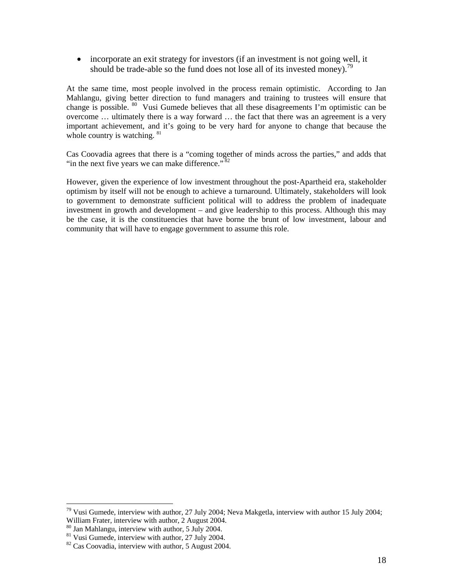• incorporate an exit strategy for investors (if an investment is not going well, it should be trade-able so the fund does not lose all of its invested money).<sup>79</sup>

At the same time, most people involved in the process remain optimistic. According to Jan Mahlangu, giving better direction to fund managers and training to trustees will ensure that change is possible.  $80$  Vusi Gumede believes that all these disagreements I'm optimistic can be overcome … ultimately there is a way forward … the fact that there was an agreement is a very important achievement, and it's going to be very hard for anyone to change that because the whole country is watching.  $81$ 

Cas Coovadia agrees that there is a "coming together of minds across the parties," and adds that "in the next five years we can make difference." $82$ 

However, given the experience of low investment throughout the post-Apartheid era, stakeholder optimism by itself will not be enough to achieve a turnaround. Ultimately, stakeholders will look to government to demonstrate sufficient political will to address the problem of inadequate investment in growth and development – and give leadership to this process. Although this may be the case, it is the constituencies that have borne the brunt of low investment, labour and community that will have to engage government to assume this role.

 $79$  Vusi Gumede, interview with author, 27 July 2004; Neva Makgetla, interview with author 15 July 2004; William Frater, interview with author, 2 August 2004. <sup>80</sup> Jan Mahlangu, interview with author, 5 July 2004. <sup>82</sup> Cas Coovadia, interview with author, 5 August 2004.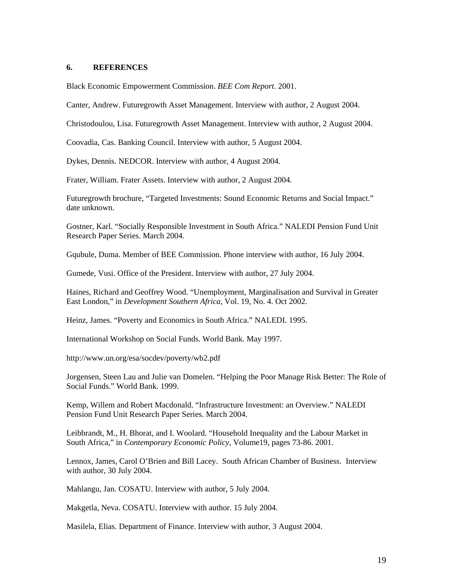#### **6. REFERENCES**

Black Economic Empowerment Commission. *BEE Com Report*. 2001.

Canter, Andrew. Futuregrowth Asset Management. Interview with author, 2 August 2004.

Christodoulou, Lisa. Futuregrowth Asset Management. Interview with author, 2 August 2004.

Coovadia, Cas. Banking Council. Interview with author, 5 August 2004.

Dykes, Dennis. NEDCOR. Interview with author, 4 August 2004.

Frater, William. Frater Assets. Interview with author, 2 August 2004.

Futuregrowth brochure, "Targeted Investments: Sound Economic Returns and Social Impact." date unknown.

Gostner, Karl. "Socially Responsible Investment in South Africa." NALEDI Pension Fund Unit Research Paper Series. March 2004.

Gqubule, Duma. Member of BEE Commission. Phone interview with author, 16 July 2004.

Gumede, Vusi. Office of the President. Interview with author, 27 July 2004.

Haines, Richard and Geoffrey Wood. "Unemployment, Marginalisation and Survival in Greater East London," in *Development Southern Africa*, Vol. 19, No. 4. Oct 2002.

Heinz, James. "Poverty and Economics in South Africa." NALEDI. 1995.

International Workshop on Social Funds. World Bank. May 1997.

http://www.un.org/esa/socdev/poverty/wb2.pdf

Jorgensen, Steen Lau and Julie van Domelen. "Helping the Poor Manage Risk Better: The Role of Social Funds." World Bank. 1999.

Kemp, Willem and Robert Macdonald. "Infrastructure Investment: an Overview." NALEDI Pension Fund Unit Research Paper Series. March 2004.

Leibbrandt, M., H. Bhorat, and I. Woolard. "Household Inequality and the Labour Market in South Africa," in *Contemporary Economic Policy*, Volume19, pages 73-86. 2001.

Lennox, James, Carol O'Brien and Bill Lacey. South African Chamber of Business. Interview with author, 30 July 2004.

Mahlangu, Jan. COSATU. Interview with author, 5 July 2004.

Makgetla, Neva. COSATU. Interview with author. 15 July 2004.

Masilela, Elias. Department of Finance. Interview with author, 3 August 2004.